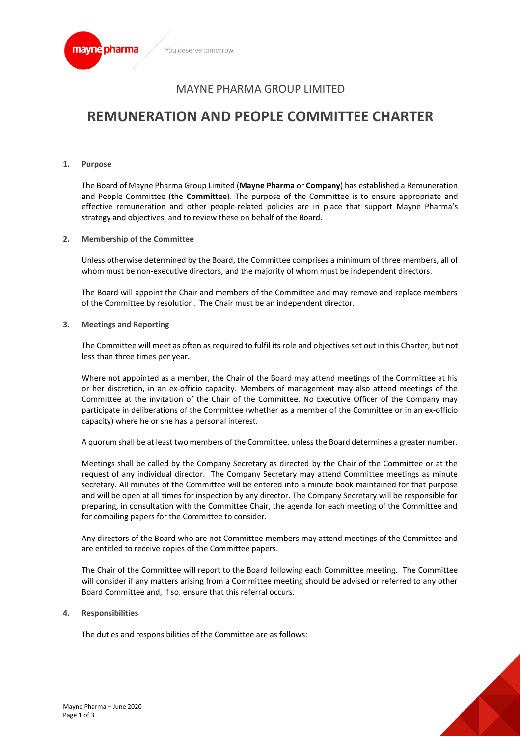

# MAYNE PHARMA GROUP LIMITED

# **REMUNERATION AND PEOPLE COMMITTEE CHARTER**

**1. Purpose**

The Board of Mayne Pharma Group Limited (**Mayne Pharma** or **Company**) has established a Remuneration and People Committee (the **Committee**). The purpose of the Committee is to ensure appropriate and effective remuneration and other people-related policies are in place that support Mayne Pharma's strategy and objectives, and to review these on behalf of the Board.

**2. Membership of the Committee**

Unless otherwise determined by the Board, the Committee comprises a minimum of three members, all of whom must be non-executive directors, and the majority of whom must be independent directors.

The Board will appoint the Chair and members of the Committee and may remove and replace members of the Committee by resolution. The Chair must be an independent director.

**3. Meetings and Reporting**

The Committee will meet as often as required to fulfil its role and objectives set out in this Charter, but not less than three times per year.

Where not appointed as a member, the Chair of the Board may attend meetings of the Committee at his or her discretion, in an ex-officio capacity. Members of management may also attend meetings of the Committee at the invitation of the Chair of the Committee. No Executive Officer of the Company may participate in deliberations of the Committee (whether as a member of the Committee or in an ex-officio capacity) where he or she has a personal interest.

A quorum shall be at least two members of the Committee, unless the Board determines a greater number.

Meetings shall be called by the Company Secretary as directed by the Chair of the Committee or at the request of any individual director. The Company Secretary may attend Committee meetings as minute secretary. All minutes of the Committee will be entered into a minute book maintained for that purpose and will be open at all times for inspection by any director. The Company Secretary will be responsible for preparing, in consultation with the Committee Chair, the agenda for each meeting of the Committee and for compiling papers for the Committee to consider.

Any directors of the Board who are not Committee members may attend meetings of the Committee and are entitled to receive copies of the Committee papers.

The Chair of the Committee will report to the Board following each Committee meeting. The Committee will consider if any matters arising from a Committee meeting should be advised or referred to any other Board Committee and, if so, ensure that this referral occurs.

#### **4. Responsibilities**

The duties and responsibilities of the Committee are as follows:

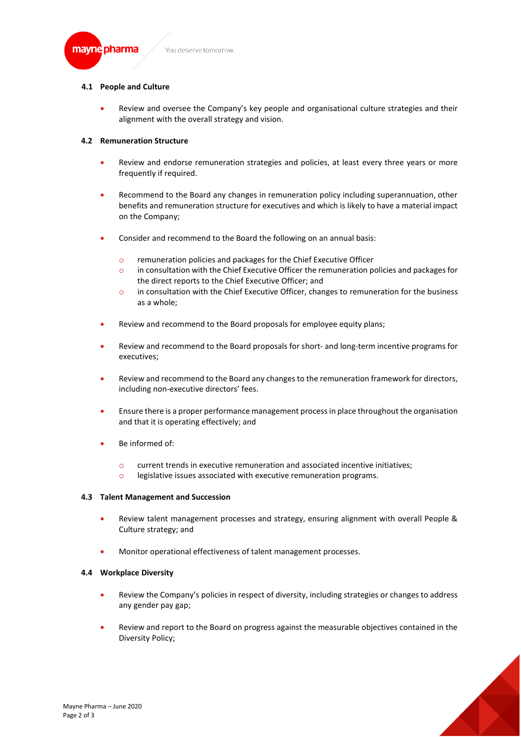

## **4.1 People and Culture**

• Review and oversee the Company's key people and organisational culture strategies and their alignment with the overall strategy and vision.

## **4.2 Remuneration Structure**

- Review and endorse remuneration strategies and policies, at least every three years or more frequently if required.
- Recommend to the Board any changes in remuneration policy including superannuation, other benefits and remuneration structure for executives and which is likely to have a material impact on the Company;
- Consider and recommend to the Board the following on an annual basis:
	- o remuneration policies and packages for the Chief Executive Officer
	- o in consultation with the Chief Executive Officer the remuneration policies and packages for the direct reports to the Chief Executive Officer; and
	- o in consultation with the Chief Executive Officer, changes to remuneration for the business as a whole;
- Review and recommend to the Board proposals for employee equity plans:
- Review and recommend to the Board proposals for short- and long-term incentive programs for executives;
- Review and recommend to the Board any changes to the remuneration framework for directors, including non-executive directors' fees.
- Ensure there is a proper performance management process in place throughout the organisation and that it is operating effectively; and
- Be informed of:
	- o current trends in executive remuneration and associated incentive initiatives;
	- o legislative issues associated with executive remuneration programs.

## **4.3 Talent Management and Succession**

- Review talent management processes and strategy, ensuring alignment with overall People & Culture strategy; and
- Monitor operational effectiveness of talent management processes.

## **4.4 Workplace Diversity**

- Review the Company's policies in respect of diversity, including strategies or changes to address any gender pay gap;
- Review and report to the Board on progress against the measurable objectives contained in the Diversity Policy;